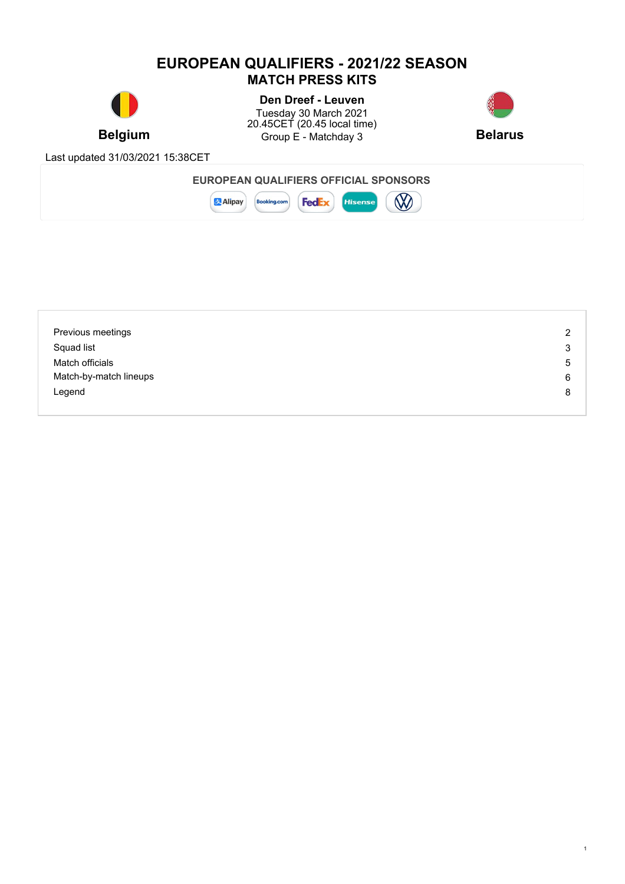### **EUROPEAN QUALIFIERS - 2021/22 SEASON MATCH PRESS KITS**



**Belgium Belarus** Group E - Matchday 3 **Belarus Den Dreef - Leuven** Tuesday 30 March 2021 20.45CET (20.45 local time)



1

Last updated 31/03/2021 15:38CET



| Previous meetings      | 2 |
|------------------------|---|
| Squad list             | 3 |
| Match officials        | 5 |
| Match-by-match lineups | 6 |
| Legend                 | 8 |
|                        |   |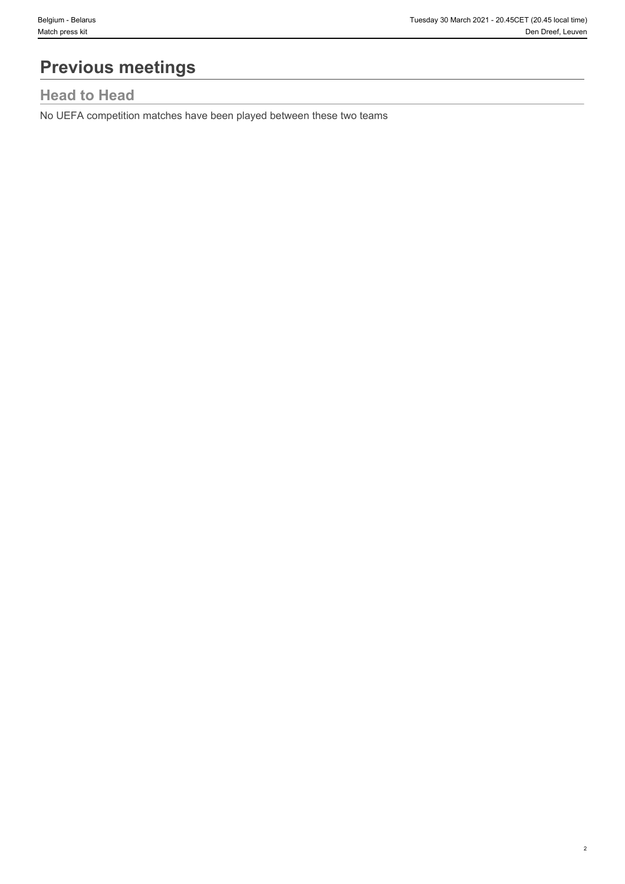2

# **Previous meetings**

# **Head to Head**

No UEFA competition matches have been played between these two teams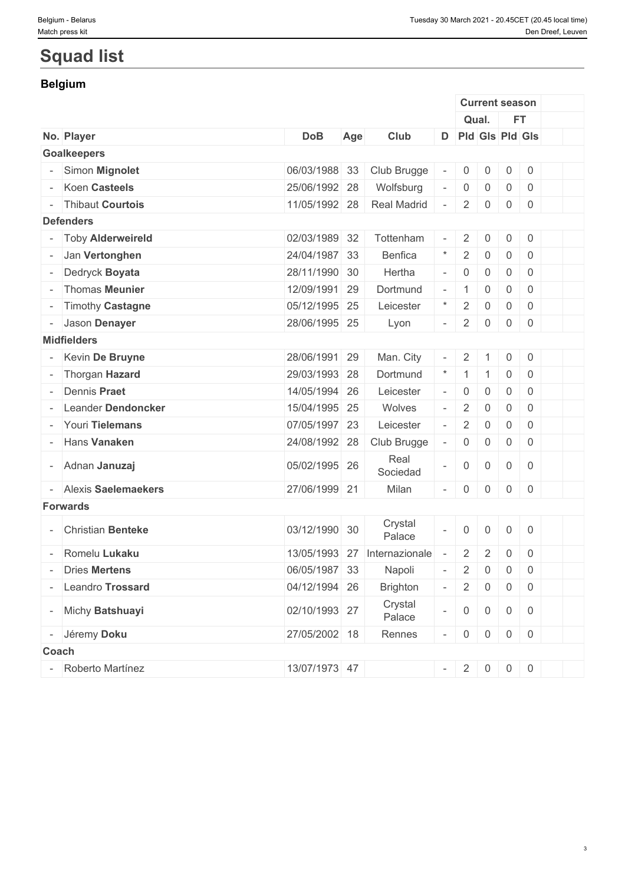3

# **Squad list**

### **Belgium**

|       |                          |               |     |                   |                             |                     |                     |                     |                     | <b>Current season</b> |  |
|-------|--------------------------|---------------|-----|-------------------|-----------------------------|---------------------|---------------------|---------------------|---------------------|-----------------------|--|
|       |                          |               |     |                   |                             | Qual.               |                     |                     | <b>FT</b>           |                       |  |
|       | No. Player               | <b>DoB</b>    | Age | Club              |                             |                     |                     |                     | D Pld Gls Pld Gls   |                       |  |
|       | <b>Goalkeepers</b>       |               |     |                   |                             |                     |                     |                     |                     |                       |  |
|       | Simon Mignolet           | 06/03/1988 33 |     | Club Brugge       | $\overline{\phantom{a}}$    | 0                   | $\overline{0}$      | $\mathsf{O}$        | $\overline{0}$      |                       |  |
|       | Koen Casteels            | 25/06/1992 28 |     | Wolfsburg         | $\equiv$                    | $\mathbf 0$         | $\mathbf 0$         | $\mathbf 0$         | $\overline{0}$      |                       |  |
|       | <b>Thibaut Courtois</b>  | 11/05/1992 28 |     | Real Madrid       | $\overline{\phantom{a}}$    | $\overline{2}$      | $\overline{0}$      | 0                   | 0                   |                       |  |
|       | <b>Defenders</b>         |               |     |                   |                             |                     |                     |                     |                     |                       |  |
|       | <b>Toby Alderweireld</b> | 02/03/1989 32 |     | Tottenham         | $\omega$                    | $\overline{2}$      | 0                   | 0                   | $\overline{0}$      |                       |  |
|       | Jan Vertonghen           | 24/04/1987 33 |     | Benfica           | $\star$                     | $\sqrt{2}$          | $\mathbf 0$         | $\mathbf 0$         | $\overline{0}$      |                       |  |
|       | Dedryck Boyata           | 28/11/1990 30 |     | Hertha            | $\mathcal{L}_{\mathcal{A}}$ | $\mathsf{0}$        | $\mathbf 0$         | $\mathbf 0$         | $\mathbf 0$         |                       |  |
|       | Thomas Meunier           | 12/09/1991 29 |     | Dortmund          | $\sim$                      | 1                   | $\mathbf 0$         | $\mathbf 0$         | $\overline{0}$      |                       |  |
|       | <b>Timothy Castagne</b>  | 05/12/1995 25 |     | Leicester         | $^{\star}$                  | $\overline{2}$      | $\mathbf 0$         | $\mathbf 0$         | $\overline{0}$      |                       |  |
|       | Jason Denayer            | 28/06/1995 25 |     | Lyon              | $\overline{\phantom{a}}$    | $\overline{2}$      | $\mathbf 0$         | $\mathbf 0$         | $\overline{0}$      |                       |  |
|       | <b>Midfielders</b>       |               |     |                   |                             |                     |                     |                     |                     |                       |  |
|       | Kevin De Bruyne          | 28/06/1991 29 |     | Man. City         |                             | $\overline{2}$      | -1                  | $\mathsf{O}$        | $\overline{0}$      |                       |  |
|       | Thorgan Hazard           | 29/03/1993 28 |     | Dortmund          |                             | $\mathbf{1}$        | $\overline{1}$      | $\mathsf{O}\xspace$ | $\overline{0}$      |                       |  |
|       | Dennis Praet             | 14/05/1994 26 |     | Leicester         | $\equiv$                    | $\mathsf{0}$        | $\overline{0}$      | $\mathbf 0$         | $\overline{0}$      |                       |  |
|       | Leander Dendoncker       | 15/04/1995 25 |     | Wolves            | $\equiv$                    | $\overline{2}$      | $\mathbf 0$         | $\mathbf 0$         | $\overline{0}$      |                       |  |
|       | - Youri Tielemans        | 07/05/1997 23 |     | Leicester         | $\equiv$                    | $\sqrt{2}$          | $\mathsf{O}\xspace$ | $\mathbf 0$         | $\mathbf 0$         |                       |  |
|       | Hans Vanaken             | 24/08/1992 28 |     | Club Brugge       | $\overline{\phantom{a}}$    | $\boldsymbol{0}$    | 0                   | $\mathsf{O}\xspace$ | $\overline{0}$      |                       |  |
|       | - Adnan Januzaj          | 05/02/1995 26 |     | Real<br>Sociedad  | $\overline{\phantom{a}}$    | $\mathsf{O}\xspace$ | $\mathsf{O}$        | $\mathbf 0$         | $\overline{0}$      |                       |  |
|       | Alexis Saelemaekers      | 27/06/1999 21 |     | Milan             | $\sim$                      | $\mathsf{0}$        | $\mathsf{O}$        | $\mathsf{O}$        | $\mathsf{O}\xspace$ |                       |  |
|       | <b>Forwards</b>          |               |     |                   |                             |                     |                     |                     |                     |                       |  |
|       | - Christian Benteke      | 03/12/1990 30 |     | Crystal<br>Palace |                             | $\mathbf 0$         | $\mathsf{O}$        | $\mathbf 0$         | $\overline{0}$      |                       |  |
|       | Romelu Lukaku            | 13/05/1993 27 |     | Internazionale    |                             | $\overline{2}$      | $\overline{2}$      | $\mathbf 0$         | $\overline{0}$      |                       |  |
|       | <b>Dries Mertens</b>     | 06/05/1987 33 |     | Napoli            |                             | $\overline{2}$      | $\overline{0}$      | $\overline{0}$      | $\mathbf 0$         |                       |  |
|       | Leandro Trossard         | 04/12/1994 26 |     | <b>Brighton</b>   | $\mathcal{L}_{\mathcal{A}}$ | $\overline{2}$      | $\overline{0}$      | $\overline{0}$      | $\overline{0}$      |                       |  |
|       | - Michy Batshuayi        | 02/10/1993 27 |     | Crystal<br>Palace | $\equiv$                    | $\mathsf{O}\xspace$ | $\overline{0}$      | $\overline{0}$      | $\overline{0}$      |                       |  |
|       | - Jéremy Doku            | 27/05/2002 18 |     | Rennes            | $\sim$                      | $\overline{0}$      | $\overline{0}$      | $\overline{0}$      | $\overline{0}$      |                       |  |
| Coach |                          |               |     |                   |                             |                     |                     |                     |                     |                       |  |
|       | Roberto Martínez         | 13/07/1973 47 |     |                   |                             | $- 2 0 0 0$         |                     |                     |                     |                       |  |
|       |                          |               |     |                   |                             |                     |                     |                     |                     |                       |  |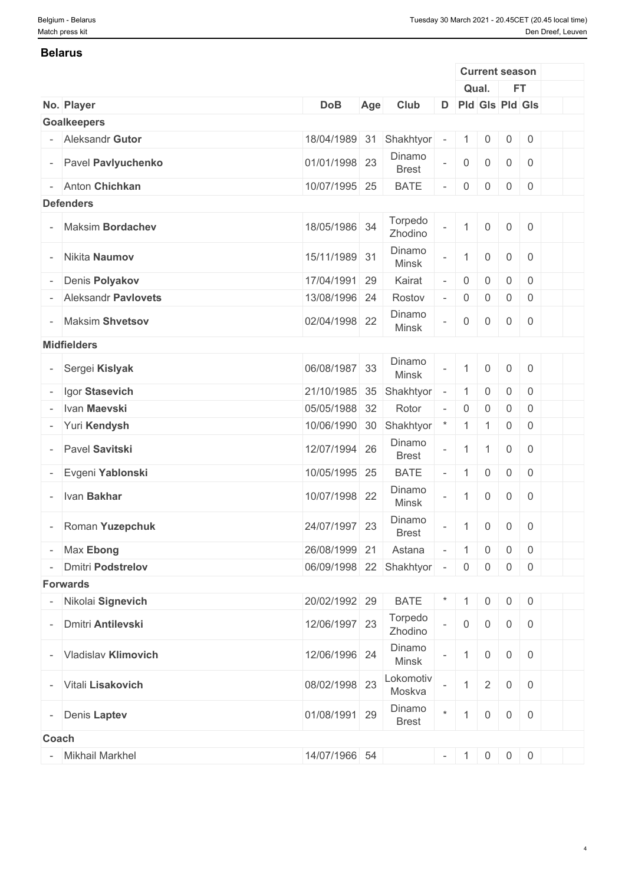#### **Belarus**

|                          |                          |                           |     |                        |                          |                     | <b>Current season</b> |                     |                                                         |  |
|--------------------------|--------------------------|---------------------------|-----|------------------------|--------------------------|---------------------|-----------------------|---------------------|---------------------------------------------------------|--|
|                          |                          |                           |     |                        |                          |                     | Qual.                 |                     | <b>FT</b>                                               |  |
|                          | No. Player               | <b>DoB</b>                | Age | Club                   |                          |                     | D Pld Gls Pld Gls     |                     |                                                         |  |
|                          | <b>Goalkeepers</b>       |                           |     |                        |                          |                     |                       |                     |                                                         |  |
|                          | Aleksandr Gutor          | 18/04/1989 31             |     | Shakhtyor              | $\overline{\phantom{a}}$ | $\mathbf{1}$        | $\mathsf{O}$          | $\overline{0}$      | $\overline{0}$                                          |  |
| $\overline{\phantom{0}}$ | Pavel Pavlyuchenko       | 01/01/1998 23             |     | Dinamo<br><b>Brest</b> | $\overline{\phantom{a}}$ | $\mathsf{O}\xspace$ | $\mathsf{O}\xspace$   | $\overline{0}$      | $\overline{0}$                                          |  |
| $\sim$                   | Anton Chichkan           | 10/07/1995 25             |     | <b>BATE</b>            | $\overline{\phantom{a}}$ | $\mathbf 0$         | $\mathsf{O}$          | $\overline{0}$      | $\overline{0}$                                          |  |
|                          | <b>Defenders</b>         |                           |     |                        |                          |                     |                       |                     |                                                         |  |
|                          | Maksim Bordachev         | 18/05/1986 34             |     | Torpedo<br>Zhodino     | $\equiv$                 | $\mathbf{1}$        | $\mathsf{O}\xspace$   | $\overline{0}$      | $\overline{0}$                                          |  |
|                          | - Nikita Naumov          | 15/11/1989 31             |     | Dinamo<br>Minsk        | $\equiv$                 | $\mathbf{1}$        | $\mathsf{O}\xspace$   | $\overline{0}$      | $\overline{0}$                                          |  |
|                          | Denis Polyakov           | 17/04/1991 29             |     | Kairat                 |                          | $\mathsf 0$         | $\mathsf{O}\xspace$   | $\overline{0}$      | $\overline{0}$                                          |  |
|                          | Aleksandr Pavlovets      | 13/08/1996 24             |     | Rostov                 |                          | $\mathsf 0$         | $\mathsf{O}\xspace$   | $\mathbf 0$         | $\overline{0}$                                          |  |
|                          | - Maksim Shvetsov        | 02/04/1998 22             |     | Dinamo<br><b>Minsk</b> | $\overline{\phantom{a}}$ | $\mathsf 0$         | 0                     | $\overline{0}$      | $\overline{0}$                                          |  |
|                          | <b>Midfielders</b>       |                           |     |                        |                          |                     |                       |                     |                                                         |  |
|                          | Sergei Kislyak           | 06/08/1987 33             |     | Dinamo<br>Minsk        | $\Box$                   | $\overline{1}$      | $\mathsf{O}\xspace$   | $\mathsf{O}\xspace$ | $\overline{0}$                                          |  |
|                          | Igor Stasevich           | 21/10/1985 35             |     | Shakhtyor -            |                          | $\mathbf{1}$        | $\mathsf{O}\xspace$   | $\mathsf{O}\xspace$ | $\overline{0}$                                          |  |
|                          | Ivan Maevski             | 05/05/1988 32             |     | Rotor                  | $\overline{\phantom{a}}$ | $\mathbf 0$         | $\mathbf 0$           | $\mathsf{O}$        | $\overline{0}$                                          |  |
|                          | - Yuri Kendysh           | 10/06/1990 30             |     | Shakhtyor              |                          | 1                   | $\mathbf{1}$          | $\overline{0}$      | $\overline{0}$                                          |  |
|                          | Pavel Savitski           | 12/07/1994 26             |     | Dinamo<br><b>Brest</b> | $\overline{\phantom{a}}$ | $\overline{1}$      | $\mathbf{1}$          | $\overline{0}$      | $\overline{0}$                                          |  |
|                          | Evgeni Yablonski         | 10/05/1995 25             |     | <b>BATE</b>            | $\bar{\phantom{a}}$      | $\mathbf{1}$        | $\mathsf{O}\xspace$   | $\mathbf 0$         | $\overline{0}$                                          |  |
|                          | Ivan Bakhar              | 10/07/1998 22             |     | Dinamo<br>Minsk        | $\overline{\phantom{a}}$ | $\mathbf{1}$        | $\mathsf{O}\xspace$   | $\overline{0}$      | $\overline{0}$                                          |  |
|                          | Roman Yuzepchuk          | 24/07/1997 23             |     | Dinamo<br><b>Brest</b> | $\overline{\phantom{a}}$ | $\mathbf{1}$        | $\mathsf{O}\xspace$   | $\overline{0}$      | $\overline{0}$                                          |  |
|                          | - Max Ebong              | 26/08/1999 21             |     | Astana                 | $\sim$                   | $\vert 1 \vert$     | $\overline{0}$        |                     | $0 \quad 0$                                             |  |
|                          | <b>Dmitri Podstrelov</b> | 06/09/1998 22 Shakhtyor - |     |                        |                          | 0                   | $\overline{0}$        | $\overline{0}$      | $\overline{0}$                                          |  |
|                          | <b>Forwards</b>          |                           |     |                        |                          |                     |                       |                     |                                                         |  |
|                          | - Nikolai Signevich      | 20/02/1992 29             |     | <b>BATE</b>            | $\star$                  | $\mathbf{1}$        | $\overline{0}$        |                     | $0 \quad 0$                                             |  |
|                          | <b>Dmitri Antilevski</b> | 12/06/1997 23             |     | Torpedo<br>Zhodino     | $\bar{\phantom{a}}$      | $\overline{0}$      | $\overline{0}$        | $\overline{0}$      | $\begin{array}{\sqrt{2}} \\ 0 \end{array}$              |  |
|                          | - Vladislav Klimovich    | 12/06/1996 24             |     | Dinamo<br>Minsk        | $\overline{\phantom{a}}$ | $\mathbf{1}$        | $\mathsf{O}$          | $\overline{0}$      | $\begin{array}{ c c } \hline \hline \hline \end{array}$ |  |
|                          | - Vitali Lisakovich      | 08/02/1998 23             |     | Lokomotiv<br>Moskva    |                          | $\mathbf{1}$        | $\overline{2}$        |                     | $0 \mid 0$                                              |  |
| $ \,$                    | Denis Laptev             | 01/08/1991 29             |     | Dinamo<br><b>Brest</b> | $\star$                  | $\mathbf{1}$        | $\mathsf{O}\xspace$   | $\overline{0}$      | $\overline{0}$                                          |  |
| <b>Coach</b>             |                          |                           |     |                        |                          |                     |                       |                     |                                                         |  |
|                          | Mikhail Markhel          | 14/07/1966 54             |     |                        |                          |                     | $-1$ 0                |                     | $0 \mid 0$                                              |  |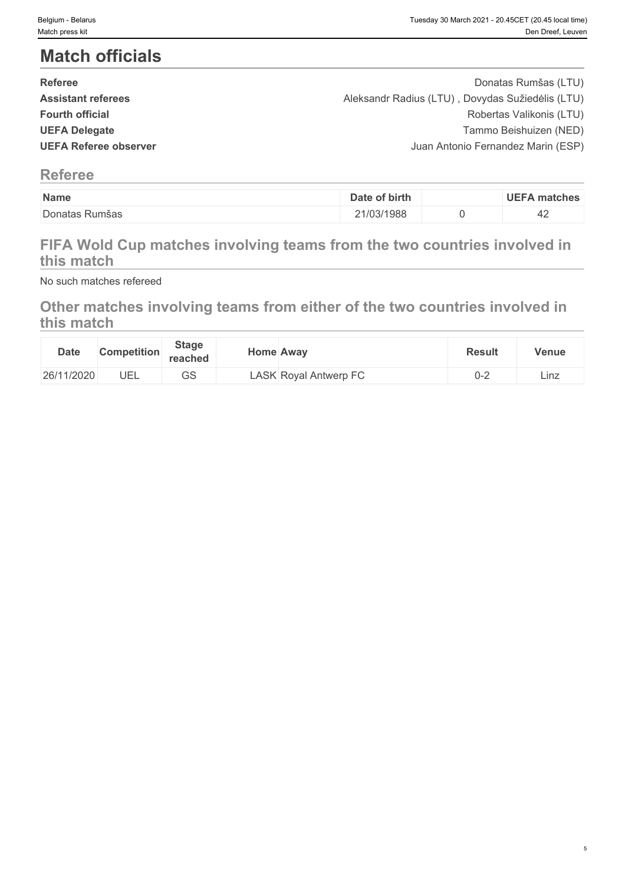5

# **Match officials**

| <b>Referee</b>            | Donatas Rumšas (LTU)                             |  |
|---------------------------|--------------------------------------------------|--|
| <b>Assistant referees</b> | Aleksandr Radius (LTU), Dovydas Sužiedėlis (LTU) |  |
| <b>Fourth official</b>    | Robertas Valikonis (LTU)                         |  |
| <b>UEFA Delegate</b>      | Tammo Beishuizen (NED)                           |  |
| UEFA Referee observer     | Juan Antonio Fernandez Marin (ESP)               |  |
|                           |                                                  |  |

### **Referee**

| Name                     | of birth<br>Date | UEEZ<br>. matches |
|--------------------------|------------------|-------------------|
| Donatas<br><b>Rumsas</b> | 1/03/1988        | ℸ∠                |

# **FIFA Wold Cup matches involving teams from the two countries involved in this match**

No such matches refereed

# **Other matches involving teams from either of the two countries involved in this match**

| <b>Date</b> | <b>Competition</b> | <b>Stage</b><br>reached | Home Awav                    | <b>Result</b> | <b>Venue</b> |
|-------------|--------------------|-------------------------|------------------------------|---------------|--------------|
| 26/11/2020  | UEL                | $\sim$ $\sim$<br>ںت     | <b>LASK Royal Antwerp FC</b> | . - ل<br>_    | Linz         |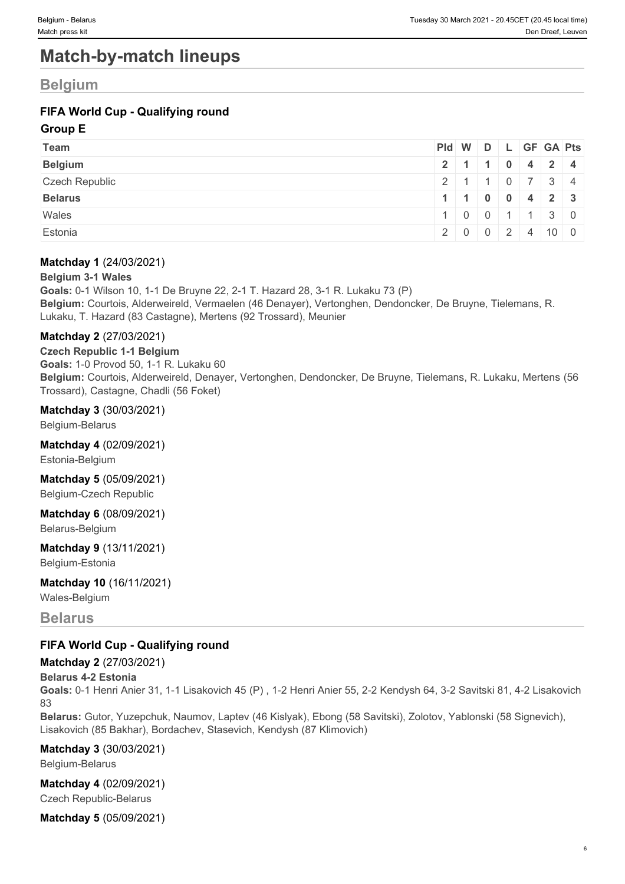# **Match-by-match lineups**

### **Belgium**

### **FIFA World Cup - Qualifying round**

### **Group E**

| Team                  | Pid W D L GF GA Pts                           |  |  |  |
|-----------------------|-----------------------------------------------|--|--|--|
| <b>Belgium</b>        | 2 1 1 0 4 2 4                                 |  |  |  |
| <b>Czech Republic</b> | 2 1 1 0 7 3 4                                 |  |  |  |
| <b>Belarus</b>        | $1 \mid 1 \mid 0 \mid 0 \mid 4 \mid 2 \mid 3$ |  |  |  |
| Wales                 | 1   0   0   1   1   3   0                     |  |  |  |
| Estonia               | 2 0 0 2 4 10 0                                |  |  |  |

### **Matchday 1** (24/03/2021)

### **Belgium 3-1 Wales**

**Goals:** 0-1 Wilson 10, 1-1 De Bruyne 22, 2-1 T. Hazard 28, 3-1 R. Lukaku 73 (P) **Belgium:** Courtois, Alderweireld, Vermaelen (46 Denayer), Vertonghen, Dendoncker, De Bruyne, Tielemans, R. Lukaku, T. Hazard (83 Castagne), Mertens (92 Trossard), Meunier

### **Matchday 2** (27/03/2021)

**Czech Republic 1-1 Belgium Goals:** 1-0 Provod 50, 1-1 R. Lukaku 60 **Belgium:** Courtois, Alderweireld, Denayer, Vertonghen, Dendoncker, De Bruyne, Tielemans, R. Lukaku, Mertens (56 Trossard), Castagne, Chadli (56 Foket)

#### **Matchday 3** (30/03/2021)

Belgium-Belarus

#### **Matchday 4** (02/09/2021)

Estonia-Belgium

**Matchday 5** (05/09/2021) Belgium-Czech Republic

# **Matchday 6** (08/09/2021)

Belarus-Belgium

### **Matchday 9** (13/11/2021)

Belgium-Estonia

### **Matchday 10** (16/11/2021)

Wales-Belgium

### **Belarus**

### **FIFA World Cup - Qualifying round**

### **Matchday 2** (27/03/2021)

#### **Belarus 4-2 Estonia**

**Goals:** 0-1 Henri Anier 31, 1-1 Lisakovich 45 (P) , 1-2 Henri Anier 55, 2-2 Kendysh 64, 3-2 Savitski 81, 4-2 Lisakovich 83

**Belarus:** Gutor, Yuzepchuk, Naumov, Laptev (46 Kislyak), Ebong (58 Savitski), Zolotov, Yablonski (58 Signevich), Lisakovich (85 Bakhar), Bordachev, Stasevich, Kendysh (87 Klimovich)

### **Matchday 3** (30/03/2021)

Belgium-Belarus

### **Matchday 4** (02/09/2021)

Czech Republic-Belarus

**Matchday 5** (05/09/2021)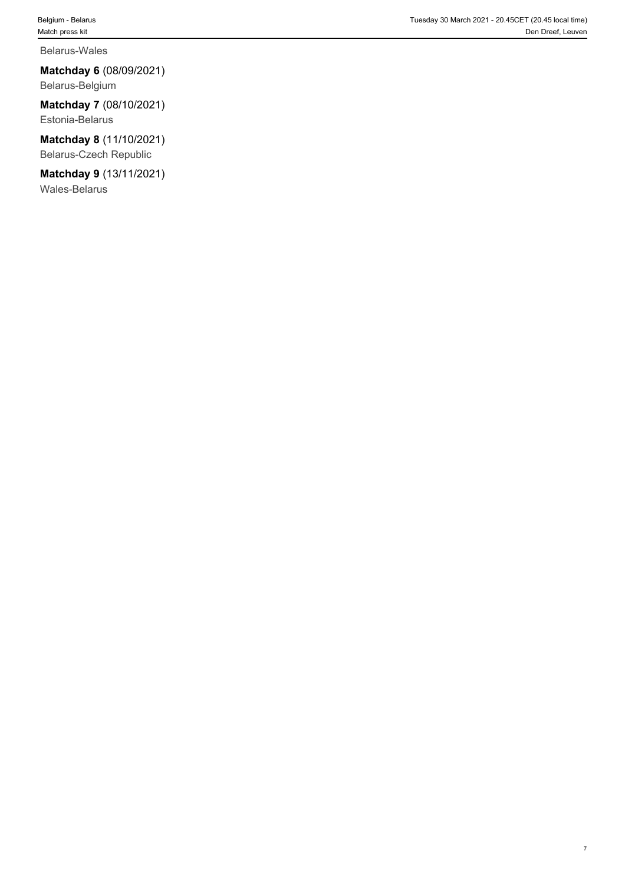#### Belarus-Wales

**Matchday 6** (08/09/2021) Belarus-Belgium

**Matchday 7** (08/10/2021) Estonia-Belarus

**Matchday 8** (11/10/2021) Belarus-Czech Republic

**Matchday 9** (13/11/2021) Wales-Belarus

7